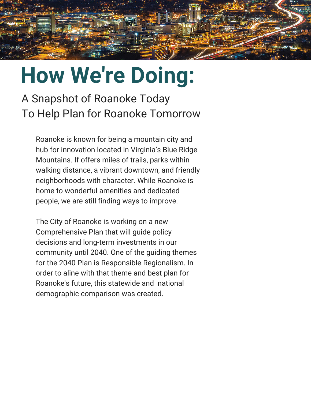

A Snapshot of Roanoke Today To Help Plan for Roanoke Tomorrow

Roanoke is known for being a mountain city and hub for innovation located in Virginia's Blue Ridge Mountains. If offers miles of trails, parks within walking distance, a vibrant downtown, and friendly neighborhoods with character. While Roanoke is home to wonderful amenities and dedicated people, we are still finding ways to improve.

The City of Roanoke is working on a new Comprehensive Plan that will guide policy decisions and long-term investments in our community until 2040. One of the guiding themes for the 2040 Plan is Responsible Regionalism. In order to aline with that theme and best plan for Roanoke's future, this statewide and national demographic comparison was created.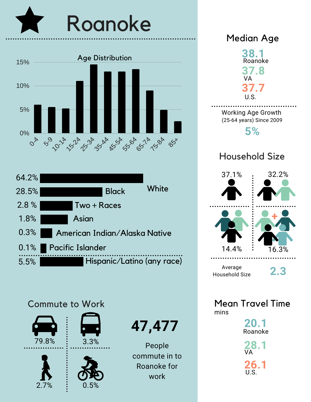





## Commute to Work



**47,477**

People commute in to Roanoke for work



**20.1** Roanoke

**28.1 26.1** VA U.S.